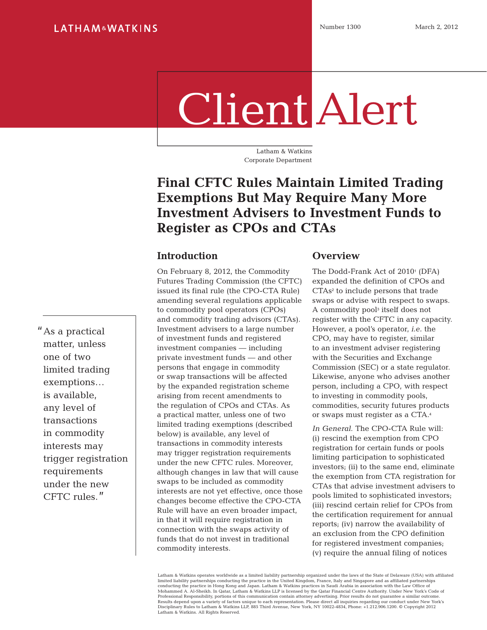# Client Alert

Latham & Watkins Corporate Department

## **Final CFTC Rules Maintain Limited Trading Exemptions But May Require Many More Investment Advisers to Investment Funds to Register as CPOs and CTAs**

#### **Introduction**

On February 8, 2012, the Commodity Futures Trading Commission (the CFTC) issued its final rule (the CPO-CTA Rule) amending several regulations applicable to commodity pool operators (CPOs) and commodity trading advisors (CTAs). Investment advisers to a large number of investment funds and registered investment companies — including private investment funds — and other persons that engage in commodity or swap transactions will be affected by the expanded registration scheme arising from recent amendments to the regulation of CPOs and CTAs. As a practical matter, unless one of two limited trading exemptions (described below) is available, any level of transactions in commodity interests may trigger registration requirements under the new CFTC rules. Moreover, although changes in law that will cause swaps to be included as commodity interests are not yet effective, once those changes become effective the CPO-CTA Rule will have an even broader impact, in that it will require registration in connection with the swaps activity of funds that do not invest in traditional commodity interests.

#### **Overview**

The Dodd-Frank Act of 2010<sup>1</sup> (DFA) expanded the definition of CPOs and CTAs<sup>2</sup> to include persons that trade swaps or advise with respect to swaps. A commodity pool3 itself does not register with the CFTC in any capacity. However, a pool's operator, *i.e.* the CPO, may have to register, similar to an investment adviser registering with the Securities and Exchange Commission (SEC) or a state regulator. Likewise, anyone who advises another person, including a CPO, with respect to investing in commodity pools, commodities, security futures products or swaps must register as a CTA.<sup>4</sup>

*In General*. The CPO-CTA Rule will: (i) rescind the exemption from CPO registration for certain funds or pools limiting participation to sophisticated investors; (ii) to the same end, eliminate the exemption from CTA registration for CTAs that advise investment advisers to pools limited to sophisticated investors; (iii) rescind certain relief for CPOs from the certification requirement for annual reports; (iv) narrow the availability of an exclusion from the CPO definition for registered investment companies; (v) require the annual filing of notices

Latham & Watkins operates worldwide as a limited liability partnership organized under the laws of the State of Delaware (USA) with affiliated limited liability partnerships conducting the practice in the United Kingdom, France, Italy and Singapore and as affiliated partnerships<br>conducting the practice in Hong Kong and Japan. Latham & Watkins practices in Saudi A Results depend upon a variety of factors unique to each representation. Please direct all inquiries regarding our conduct under New York's<br>Disciplinary Rules to Latham & Watkins LLP, 885 Third Avenue, New York, NY 10022-48 Latham & Watkins. All Rights Reserved.

"As a practical matter, unless one of two limited trading exemptions… is available, any level of transactions in commodity interests may trigger registration requirements under the new CFTC rules."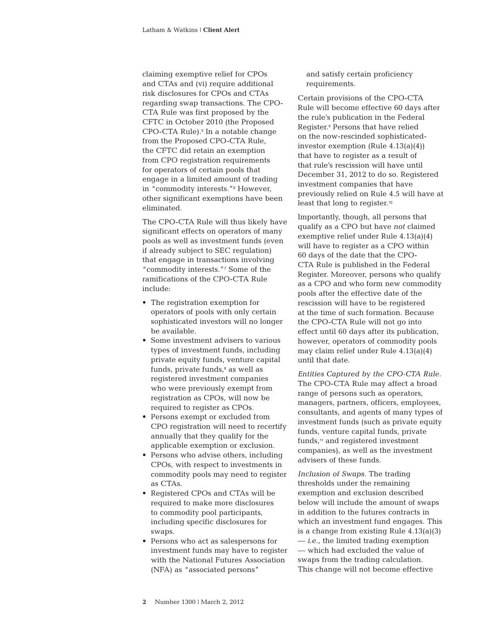claiming exemptive relief for CPOs and CTAs and (vi) require additional risk disclosures for CPOs and CTAs regarding swap transactions. The CPO-CTA Rule was first proposed by the CFTC in October 2010 (the Proposed CPO-CTA Rule).<sup>5</sup> In a notable change from the Proposed CPO-CTA Rule, the CFTC did retain an exemption from CPO registration requirements for operators of certain pools that engage in a limited amount of trading in "commodity interests."6 However, other significant exemptions have been eliminated.

The CPO-CTA Rule will thus likely have significant effects on operators of many pools as well as investment funds (even if already subject to SEC regulation) that engage in transactions involving "commodity interests."7 Some of the ramifications of the CPO-CTA Rule include:

- The registration exemption for operators of pools with only certain sophisticated investors will no longer be available.
- Some investment advisers to various types of investment funds, including private equity funds, venture capital funds, private funds, $\delta$  as well as registered investment companies who were previously exempt from registration as CPOs, will now be required to register as CPOs.
- Persons exempt or excluded from CPO registration will need to recertify annually that they qualify for the applicable exemption or exclusion.
- Persons who advise others, including CPOs, with respect to investments in commodity pools may need to register as CTAs.
- Registered CPOs and CTAs will be required to make more disclosures to commodity pool participants, including specific disclosures for swaps.
- Persons who act as salespersons for investment funds may have to register with the National Futures Association (NFA) as "associated persons"

and satisfy certain proficiency requirements.

Certain provisions of the CPO-CTA Rule will become effective 60 days after the rule's publication in the Federal Register.9 Persons that have relied on the now-rescinded sophisticatedinvestor exemption (Rule 4.13(a)(4)) that have to register as a result of that rule's rescission will have until December 31, 2012 to do so. Registered investment companies that have previously relied on Rule 4.5 will have at least that long to register.<sup>10</sup>

Importantly, though, all persons that qualify as a CPO but have *not* claimed exemptive relief under Rule 4.13(a)(4) will have to register as a CPO within 60 days of the date that the CPO-CTA Rule is published in the Federal Register. Moreover, persons who qualify as a CPO and who form new commodity pools after the effective date of the rescission will have to be registered at the time of such formation. Because the CPO-CTA Rule will not go into effect until 60 days after its publication, however, operators of commodity pools may claim relief under Rule 4.13(a)(4) until that date.

*Entities Captured by the CPO-CTA Rule.*  The CPO-CTA Rule may affect a broad range of persons such as operators, managers, partners, officers, employees, consultants, and agents of many types of investment funds (such as private equity funds, venture capital funds, private funds,<sup>11</sup> and registered investment companies), as well as the investment advisers of these funds.

*Inclusion of Swaps*. The trading thresholds under the remaining exemption and exclusion described below will include the amount of swaps in addition to the futures contracts in which an investment fund engages. This is a change from existing Rule 4.13(a)(3) — *i.e.*, the limited trading exemption — which had excluded the value of swaps from the trading calculation. This change will not become effective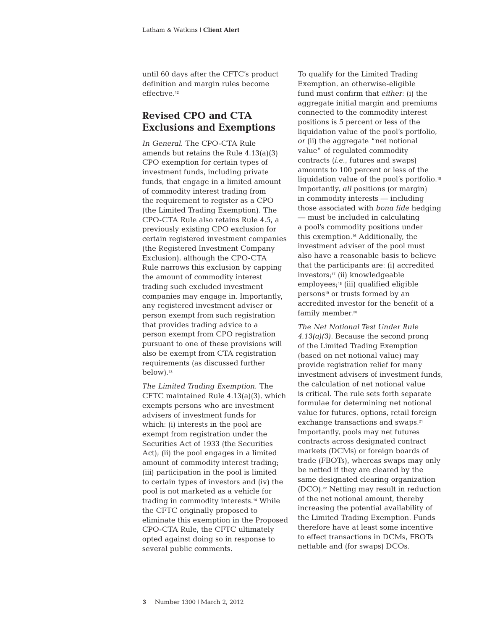until 60 days after the CFTC's product definition and margin rules become effective.<sup>12</sup>

#### **Revised CPO and CTA Exclusions and Exemptions**

*In General.* The CPO-CTA Rule amends but retains the Rule 4.13(a)(3) CPO exemption for certain types of investment funds, including private funds, that engage in a limited amount of commodity interest trading from the requirement to register as a CPO (the Limited Trading Exemption). The CPO-CTA Rule also retains Rule 4.5, a previously existing CPO exclusion for certain registered investment companies (the Registered Investment Company Exclusion), although the CPO-CTA Rule narrows this exclusion by capping the amount of commodity interest trading such excluded investment companies may engage in. Importantly, any registered investment adviser or person exempt from such registration that provides trading advice to a person exempt from CPO registration pursuant to one of these provisions will also be exempt from CTA registration requirements (as discussed further below).<sup>13</sup>

*The Limited Trading Exemption.* The CFTC maintained Rule 4.13(a)(3), which exempts persons who are investment advisers of investment funds for which: (i) interests in the pool are exempt from registration under the Securities Act of 1933 (the Securities Act); (ii) the pool engages in a limited amount of commodity interest trading; (iii) participation in the pool is limited to certain types of investors and (iv) the pool is not marketed as a vehicle for trading in commodity interests.14 While the CFTC originally proposed to eliminate this exemption in the Proposed CPO-CTA Rule, the CFTC ultimately opted against doing so in response to several public comments.

To qualify for the Limited Trading Exemption, an otherwise-eligible fund must confirm that *either*: (i) the aggregate initial margin and premiums connected to the commodity interest positions is 5 percent or less of the liquidation value of the pool's portfolio, *or* (ii) the aggregate "net notional value" of regulated commodity contracts (*i.e.*, futures and swaps) amounts to 100 percent or less of the liquidation value of the pool's portfolio.<sup>15</sup> Importantly, *all* positions (or margin) in commodity interests — including those associated with *bona fide* hedging — must be included in calculating a pool's commodity positions under this exemption.16 Additionally, the investment adviser of the pool must also have a reasonable basis to believe that the participants are: (i) accredited investors;17 (ii) knowledgeable employees;<sup>18</sup> (iii) qualified eligible persons19 or trusts formed by an accredited investor for the benefit of a family member.<sup>20</sup>

*The Net Notional Test Under Rule 4.13(a)(3)*. Because the second prong of the Limited Trading Exemption (based on net notional value) may provide registration relief for many investment advisers of investment funds, the calculation of net notional value is critical. The rule sets forth separate formulae for determining net notional value for futures, options, retail foreign exchange transactions and swaps.<sup>21</sup> Importantly, pools may net futures contracts across designated contract markets (DCMs) or foreign boards of trade (FBOTs), whereas swaps may only be netted if they are cleared by the same designated clearing organization (DCO).22 Netting may result in reduction of the net notional amount, thereby increasing the potential availability of the Limited Trading Exemption. Funds therefore have at least some incentive to effect transactions in DCMs, FBOTs nettable and (for swaps) DCOs.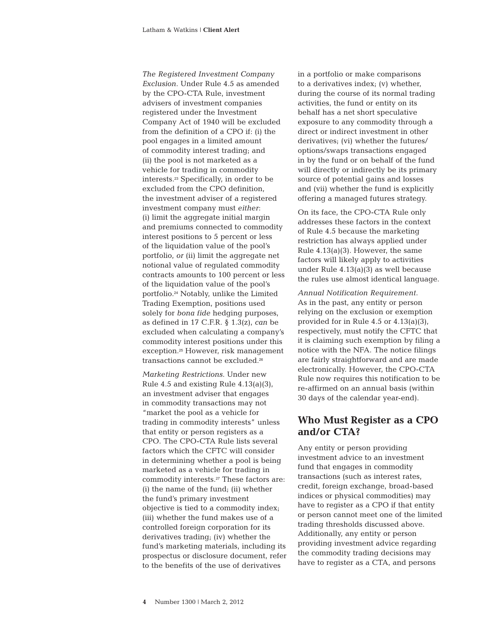*The Registered Investment Company Exclusion*. Under Rule 4.5 as amended by the CPO-CTA Rule, investment advisers of investment companies registered under the Investment Company Act of 1940 will be excluded from the definition of a CPO if: (i) the pool engages in a limited amount of commodity interest trading; and (ii) the pool is not marketed as a vehicle for trading in commodity interests.23 Specifically, in order to be excluded from the CPO definition, the investment adviser of a registered investment company must *either*: (i) limit the aggregate initial margin and premiums connected to commodity interest positions to 5 percent or less of the liquidation value of the pool's portfolio, *or* (ii) limit the aggregate net notional value of regulated commodity contracts amounts to 100 percent or less of the liquidation value of the pool's portfolio.24 Notably, unlike the Limited Trading Exemption, positions used solely for *bona fide* hedging purposes, as defined in 17 C.F.R. § 1.3(z), *can* be excluded when calculating a company's commodity interest positions under this exception.25 However, risk management transactions cannot be excluded.<sup>26</sup>

*Marketing Restrictions*. Under new Rule 4.5 and existing Rule 4.13(a)(3), an investment adviser that engages in commodity transactions may not "market the pool as a vehicle for trading in commodity interests" unless that entity or person registers as a CPO. The CPO-CTA Rule lists several factors which the CFTC will consider in determining whether a pool is being marketed as a vehicle for trading in commodity interests.27 These factors are: (i) the name of the fund; (ii) whether the fund's primary investment objective is tied to a commodity index; (iii) whether the fund makes use of a controlled foreign corporation for its derivatives trading; (iv) whether the fund's marketing materials, including its prospectus or disclosure document, refer to the benefits of the use of derivatives

in a portfolio or make comparisons to a derivatives index; (v) whether, during the course of its normal trading activities, the fund or entity on its behalf has a net short speculative exposure to any commodity through a direct or indirect investment in other derivatives; (vi) whether the futures/ options/swaps transactions engaged in by the fund or on behalf of the fund will directly or indirectly be its primary source of potential gains and losses and (vii) whether the fund is explicitly offering a managed futures strategy.

On its face, the CPO-CTA Rule only addresses these factors in the context of Rule 4.5 because the marketing restriction has always applied under Rule 4.13(a)(3). However, the same factors will likely apply to activities under Rule 4.13(a)(3) as well because the rules use almost identical language.

*Annual Notification Requirement*. As in the past, any entity or person relying on the exclusion or exemption provided for in Rule 4.5 or 4.13(a)(3), respectively, must notify the CFTC that it is claiming such exemption by filing a notice with the NFA. The notice filings are fairly straightforward and are made electronically. However, the CPO-CTA Rule now requires this notification to be re-affirmed on an annual basis (within 30 days of the calendar year-end).

#### **Who Must Register as a CPO and/or CTA?**

Any entity or person providing investment advice to an investment fund that engages in commodity transactions (such as interest rates, credit, foreign exchange, broad-based indices or physical commodities) may have to register as a CPO if that entity or person cannot meet one of the limited trading thresholds discussed above. Additionally, any entity or person providing investment advice regarding the commodity trading decisions may have to register as a CTA, and persons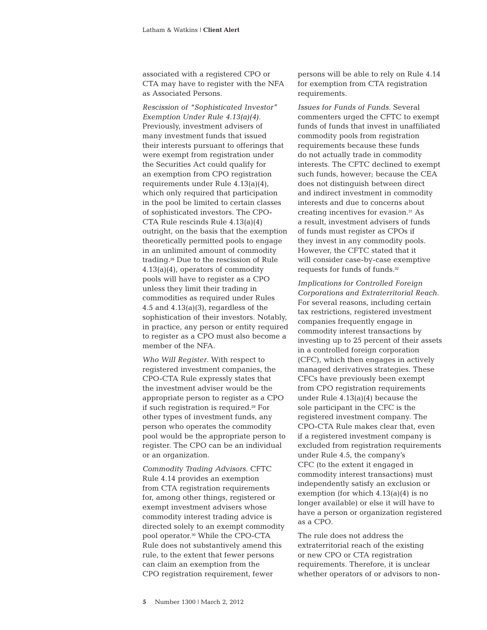associated with a registered CPO or CTA may have to register with the NFA as Associated Persons.

*Rescission of "Sophisticated Investor" Exemption Under Rule 4.13(a)(4)*. Previously, investment advisers of many investment funds that issued their interests pursuant to offerings that were exempt from registration under the Securities Act could qualify for an exemption from CPO registration requirements under Rule 4.13(a)(4), which only required that participation in the pool be limited to certain classes of sophisticated investors. The CPO-CTA Rule rescinds Rule 4.13(a)(4) outright, on the basis that the exemption theoretically permitted pools to engage in an unlimited amount of commodity trading.28 Due to the rescission of Rule 4.13(a)(4), operators of commodity pools will have to register as a CPO unless they limit their trading in commodities as required under Rules 4.5 and  $4.13(a)(3)$ , regardless of the sophistication of their investors. Notably, in practice, any person or entity required to register as a CPO must also become a member of the NFA.

*Who Will Register*. With respect to registered investment companies, the CPO-CTA Rule expressly states that the investment adviser would be the appropriate person to register as a CPO if such registration is required.29 For other types of investment funds, any person who operates the commodity pool would be the appropriate person to register. The CPO can be an individual or an organization.

*Commodity Trading Advisors*. CFTC Rule 4.14 provides an exemption from CTA registration requirements for, among other things, registered or exempt investment advisers whose commodity interest trading advice is directed solely to an exempt commodity pool operator.30 While the CPO-CTA Rule does not substantively amend this rule, to the extent that fewer persons can claim an exemption from the CPO registration requirement, fewer

persons will be able to rely on Rule 4.14 for exemption from CTA registration requirements.

*Issues for Funds of Funds*. Several commenters urged the CFTC to exempt funds of funds that invest in unaffiliated commodity pools from registration requirements because these funds do not actually trade in commodity interests. The CFTC declined to exempt such funds, however; because the CEA does not distinguish between direct and indirect investment in commodity interests and due to concerns about creating incentives for evasion.31 As a result, investment advisers of funds of funds must register as CPOs if they invest in any commodity pools. However, the CFTC stated that it will consider case-by-case exemptive requests for funds of funds.<sup>32</sup>

*Implications for Controlled Foreign Corporations and Extraterritorial Reach*. For several reasons, including certain tax restrictions, registered investment companies frequently engage in commodity interest transactions by investing up to 25 percent of their assets in a controlled foreign corporation (CFC), which then engages in actively managed derivatives strategies. These CFCs have previously been exempt from CPO registration requirements under Rule 4.13(a)(4) because the sole participant in the CFC is the registered investment company. The CPO-CTA Rule makes clear that, even if a registered investment company is excluded from registration requirements under Rule 4.5, the company's CFC (to the extent it engaged in commodity interest transactions) must independently satisfy an exclusion or exemption (for which 4.13(a)(4) is no longer available) or else it will have to have a person or organization registered as a CPO.

The rule does not address the extraterritorial reach of the existing or new CPO or CTA registration requirements. Therefore, it is unclear whether operators of or advisors to non-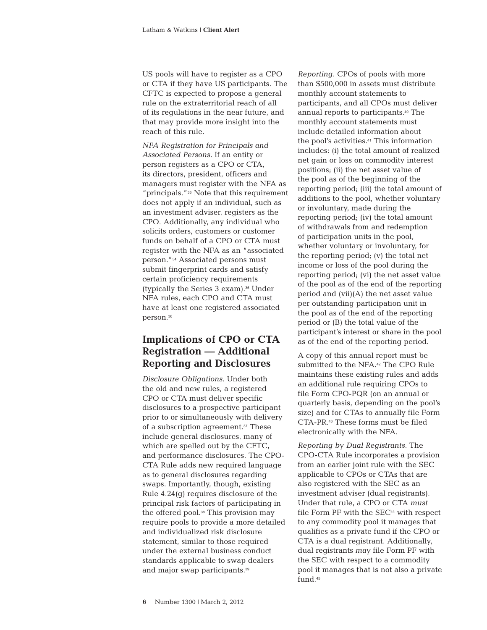US pools will have to register as a CPO or CTA if they have US participants. The CFTC is expected to propose a general rule on the extraterritorial reach of all of its regulations in the near future, and that may provide more insight into the reach of this rule.

*NFA Registration for Principals and Associated Persons*. If an entity or person registers as a CPO or CTA, its directors, president, officers and managers must register with the NFA as "principals."33 Note that this requirement does not apply if an individual, such as an investment adviser, registers as the CPO. Additionally, any individual who solicits orders, customers or customer funds on behalf of a CPO or CTA must register with the NFA as an "associated person."34 Associated persons must submit fingerprint cards and satisfy certain proficiency requirements (typically the Series 3 exam).35 Under NFA rules, each CPO and CTA must have at least one registered associated person.<sup>36</sup>

### **Implications of CPO or CTA Registration — Additional Reporting and Disclosures**

*Disclosure Obligations*. Under both the old and new rules, a registered CPO or CTA must deliver specific disclosures to a prospective participant prior to or simultaneously with delivery of a subscription agreement.37 These include general disclosures, many of which are spelled out by the CFTC, and performance disclosures. The CPO-CTA Rule adds new required language as to general disclosures regarding swaps. Importantly, though, existing Rule 4.24(g) requires disclosure of the principal risk factors of participating in the offered pool.38 This provision may require pools to provide a more detailed and individualized risk disclosure statement, similar to those required under the external business conduct standards applicable to swap dealers and major swap participants.<sup>39</sup>

*Reporting*. CPOs of pools with more than \$500,000 in assets must distribute monthly account statements to participants, and all CPOs must deliver annual reports to participants.40 The monthly account statements must include detailed information about the pool's activities.41 This information includes: (i) the total amount of realized net gain or loss on commodity interest positions; (ii) the net asset value of the pool as of the beginning of the reporting period; (iii) the total amount of additions to the pool, whether voluntary or involuntary, made during the reporting period; (iv) the total amount of withdrawals from and redemption of participation units in the pool, whether voluntary or involuntary, for the reporting period; (v) the total net income or loss of the pool during the reporting period; (vi) the net asset value of the pool as of the end of the reporting period and (vii)(A) the net asset value per outstanding participation unit in the pool as of the end of the reporting period or (B) the total value of the participant's interest or share in the pool as of the end of the reporting period.

A copy of this annual report must be submitted to the NFA.42 The CPO Rule maintains these existing rules and adds an additional rule requiring CPOs to file Form CPO-PQR (on an annual or quarterly basis, depending on the pool's size) and for CTAs to annually file Form CTA-PR.43 These forms must be filed electronically with the NFA.

*Reporting by Dual Registrants*. The CPO-CTA Rule incorporates a provision from an earlier joint rule with the SEC applicable to CPOs or CTAs that are also registered with the SEC as an investment adviser (dual registrants). Under that rule, a CPO or CTA *must* file Form PF with the SEC<sup>44</sup> with respect to any commodity pool it manages that qualifies as a private fund if the CPO or CTA is a dual registrant. Additionally, dual registrants *may* file Form PF with the SEC with respect to a commodity pool it manages that is not also a private fund.45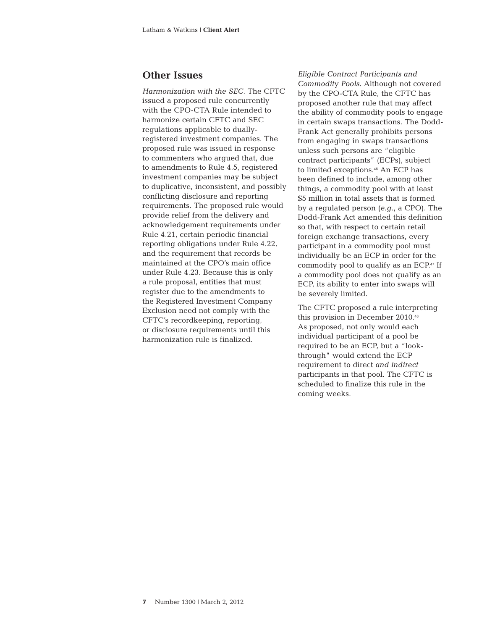#### **Other Issues**

*Harmonization with the SEC*. The CFTC issued a proposed rule concurrently with the CPO-CTA Rule intended to harmonize certain CFTC and SEC regulations applicable to duallyregistered investment companies. The proposed rule was issued in response to commenters who argued that, due to amendments to Rule 4.5, registered investment companies may be subject to duplicative, inconsistent, and possibly conflicting disclosure and reporting requirements. The proposed rule would provide relief from the delivery and acknowledgement requirements under Rule 4.21, certain periodic financial reporting obligations under Rule 4.22, and the requirement that records be maintained at the CPO's main office under Rule 4.23. Because this is only a rule proposal, entities that must register due to the amendments to the Registered Investment Company Exclusion need not comply with the CFTC's recordkeeping, reporting, or disclosure requirements until this harmonization rule is finalized.

*Eligible Contract Participants and Commodity Pools*. Although not covered by the CPO-CTA Rule, the CFTC has proposed another rule that may affect the ability of commodity pools to engage in certain swaps transactions. The Dodd-Frank Act generally prohibits persons from engaging in swaps transactions unless such persons are "eligible contract participants" (ECPs), subject to limited exceptions.46 An ECP has been defined to include, among other things, a commodity pool with at least \$5 million in total assets that is formed by a regulated person (*e.g.*, a CPO). The Dodd-Frank Act amended this definition so that, with respect to certain retail foreign exchange transactions, every participant in a commodity pool must individually be an ECP in order for the commodity pool to qualify as an ECP.47 If a commodity pool does not qualify as an ECP, its ability to enter into swaps will be severely limited.

The CFTC proposed a rule interpreting this provision in December 2010.<sup>48</sup> As proposed, not only would each individual participant of a pool be required to be an ECP, but a "lookthrough" would extend the ECP requirement to direct *and indirect* participants in that pool. The CFTC is scheduled to finalize this rule in the coming weeks.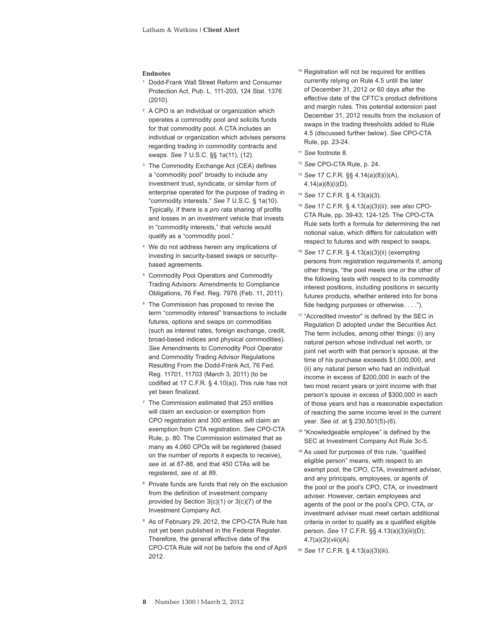#### **Endnotes**

- <sup>1</sup> Dodd-Frank Wall Street Reform and Consumer Protection Act, Pub. L. 111-203, 124 Stat. 1376 (2010).
- <sup>2</sup> A CPO is an individual or organization which operates a commodity pool and solicits funds for that commodity pool. A CTA includes an individual or organization which advises persons regarding trading in commodity contracts and swaps. *See* 7 U.S.C. §§ 1a(11), (12).
- <sup>3</sup> The Commodity Exchange Act (CEA) defines a "commodity pool" broadly to include any investment trust, syndicate, or similar form of enterprise operated for the purpose of trading in "commodity interests." *See* 7 U.S.C. § 1a(10). Typically, if there is a *pro rata* sharing of profits and losses in an investment vehicle that invests in "commodity interests," that vehicle would qualify as a "commodity pool."
- We do not address herein any implications of investing in security-based swaps or securitybased agreements.
- <sup>5</sup> Commodity Pool Operators and Commodity Trading Advisors: Amendments to Compliance Obligations, 76 Fed. Reg. 7976 (Feb. 11, 2011).
- <sup>6</sup> The Commission has proposed to revise the term "commodity interest" transactions to include futures, options and swaps on commodities (such as interest rates, foreign exchange, credit, broad-based indices and physical commodities). *See* Amendments to Commodity Pool Operator and Commodity Trading Advisor Regulations Resulting From the Dodd-Frank Act, 76 Fed. Reg. 11701, 11703 (March 3, 2011) (to be codified at 17 C.F.R. § 4.10(a)). This rule has not yet been finalized.
- <sup>7</sup> The Commission estimated that 253 entities will claim an exclusion or exemption from CPO registration and 300 entities will claim an exemption from CTA registration. *See* CPO-CTA Rule, p. 80. The Commission estimated that as many as 4,060 CPOs will be registered (based on the number of reports it expects to receive), *see id.* at 87-88, and that 450 CTAs will be registered, *see id.* at 89.
- <sup>8</sup> Private funds are funds that rely on the exclusion from the definition of investment company provided by Section 3(c)(1) or 3(c)(7) of the Investment Company Act.
- <sup>9</sup> As of February 29, 2012, the CPO-CTA Rule has not yet been published in the Federal Register. Therefore, the general effective date of the CPO-CTA Rule will not be before the end of April 2012.
- <sup>10</sup> Registration will not be required for entities currently relying on Rule 4.5 until the later of December 31, 2012 or 60 days after the effective date of the CFTC's product definitions and margin rules. This potential extension past December 31, 2012 results from the inclusion of swaps in the trading thresholds added to Rule 4.5 (discussed further below). *See* CPO-CTA Rule, pp. 23-24.
- <sup>11</sup> *See* footnote 8.
- <sup>12</sup> *See* CPO-CTA Rule, p. 24.
- <sup>13</sup> *See* 17 C.F.R. §§ 4.14(a)(8)(i)(A), 4.14(a)(8)(i)(D).
- <sup>14</sup> *See* 17 C.F.R. § 4.13(a)(3).
- <sup>15</sup> *See* 17 C.F.R. § 4.13(a)(3)(ii); *see also* CPO-CTA Rule, pp. 39-43; 124-125. The CPO-CTA Rule sets forth a formula for determining the net notional value, which differs for calculation with respect to futures and with respect to swaps.
- <sup>16</sup> *See* 17 C.F.R. § 4.13(a)(3)(ii) (exempting persons from registration requirements if, among other things, "the pool meets one or the other of the following tests with respect to its commodity interest positions, including positions in security futures products, whether entered into for bona fide hedging purposes or otherwise. . . .").
- <sup>17</sup> "Accredited investor" is defined by the SEC in Regulation D adopted under the Securities Act. The term includes, among other things: (i) any natural person whose individual net worth, or joint net worth with that person's spouse, at the time of his purchase exceeds \$1,000,000, and (ii) any natural person who had an individual income in excess of \$200,000 in each of the two most recent years or joint income with that person's spouse in excess of \$300,000 in each of those years and has a reasonable expectation of reaching the same income level in the current year. *See id.* at § 230.501(5)-(6).
- <sup>18</sup> "Knowledgeable employee" is defined by the SEC at Investment Company Act Rule 3c-5.
- <sup>19</sup> As used for purposes of this rule, "qualified eligible person" means, with respect to an exempt pool, the CPO, CTA, investment adviser, and any principals, employees, or agents of the pool or the pool's CPO, CTA, or investment adviser. However, certain employees and agents of the pool or the pool's CPO, CTA, or investment adviser must meet certain additional criteria in order to qualify as a qualified eligible person. *See* 17 C.F.R. §§ 4.13(a)(3)(iii)(D); 4.7(a)(2)(viii)(A).
- <sup>20</sup> *See* 17 C.F.R. § 4.13(a)(3)(iii).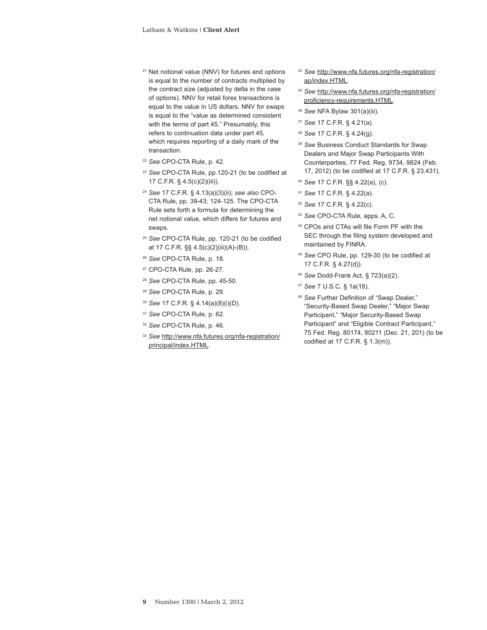- <sup>21</sup> Net notional value (NNV) for futures and options is equal to the number of contracts multiplied by the contract size (adjusted by delta in the case of options). NNV for retail forex transactions is equal to the value in US dollars. NNV for swaps is equal to the "value as determined consistent with the terms of part 45." Presumably, this refers to continuation data under part 45, which requires reporting of a daily mark of the transaction.
- <sup>22</sup> *See* CPO-CTA Rule, p. 42.
- <sup>23</sup> *See* CPO-CTA Rule, pp.120-21 (to be codified at 17 C.F.R. § 4.5(c)(2)(iii)).
- <sup>24</sup> *See* 17 C.F.R. § 4.13(a)(3)(ii); *see also* CPO-CTA Rule, pp. 39-43; 124-125. The CPO-CTA Rule sets forth a formula for determining the net notional value, which differs for futures and swaps.
- <sup>25</sup> *See* CPO-CTA Rule, pp. 120-21 (to be codified at 17 C.F.R. §§ 4.5(c)(2)(iii)(A)-(B)).
- <sup>26</sup> *See* CPO-CTA Rule, p. 18.
- <sup>27</sup> CPO-CTA Rule, pp. 26-27.
- <sup>28</sup> *See* CPO-CTA Rule, pp. 45-50.
- <sup>29</sup> *See* CPO-CTA Rule, p. 29.
- <sup>30</sup> *See* 17 C.F.R. § 4.14(a)(8)(i)(D).
- <sup>31</sup> *See* CPO-CTA Rule, p. 62.
- <sup>32</sup> *See* CPO-CTA Rule, p. 46.
- <sup>33</sup> *See* [http://www.nfa.futures.org/nfa-registration/](http://www.nfa.futures.org/nfa-registration/principal/index.HTML) [principal/index.HTML](http://www.nfa.futures.org/nfa-registration/principal/index.HTML).
- <sup>34</sup> *See* [http://www.nfa.futures.org/nfa-registration/](http://www.nfa.futures.org/nfa-registration/ap/index.HTML) [ap/index.HTML](http://www.nfa.futures.org/nfa-registration/ap/index.HTML)*.*
- <sup>35</sup> *See* [http://www.nfa.futures.org/nfa-registration/](http://www.nfa.futures.org/nfa-registration/proficiency-requirements.HTML) [proficiency-requirements.HTML](http://www.nfa.futures.org/nfa-registration/proficiency-requirements.HTML).
- <sup>36</sup> *See* NFA Bylaw 301(a)(iii).
- <sup>37</sup> *See* 17 C.F.R. § 4.21(a).
- <sup>38</sup> *See* 17 C.F.R. § 4.24(g).
- <sup>39</sup> *See* Business Conduct Standards for Swap Dealers and Major Swap Participants With Counterparties, 77 Fed. Reg. 9734, 9824 (Feb. 17, 2012) (to be codified at 17 C.F.R. § 23.431).
- <sup>40</sup> *See* 17 C.F.R. §§ 4.22(a), (c).
- <sup>41</sup> *See* 17 C.F.R. § 4.22(a).
- <sup>42</sup> *See* 17 C.F.R. § 4.22(c).
- <sup>43</sup> *See* CPO-CTA Rule, apps. A, C.
- <sup>44</sup> CPOs and CTAs will file Form PF with the SEC through the filing system developed and maintained by FINRA.
- <sup>45</sup> *See* CPO Rule, pp. 129-30 (to be codified at 17 C.F.R. § 4.27(d)).
- <sup>46</sup> *See* Dodd-Frank Act, § 723(a)(2).
- <sup>47</sup> *See* 7 U.S.C. § 1a(18).
- <sup>48</sup> *See* Further Definition of "Swap Dealer," "Security-Based Swap Dealer," "Major Swap Participant," "Major Security-Based Swap Participant" and "Eligible Contract Participant," 75 Fed. Reg. 80174, 80211 (Dec. 21, 201) (to be codified at 17 C.F.R. § 1.3(m)).